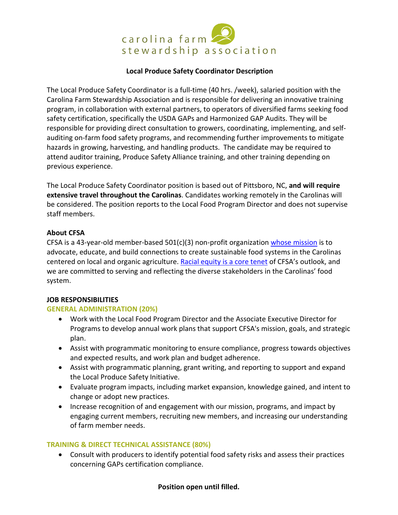

# **Local Produce Safety Coordinator Description**

The Local Produce Safety Coordinator is a full-time (40 hrs. /week), salaried position with the Carolina Farm Stewardship Association and is responsible for delivering an innovative training program, in collaboration with external partners, to operators of diversified farms seeking food safety certification, specifically the USDA GAPs and Harmonized GAP Audits. They will be responsible for providing direct consultation to growers, coordinating, implementing, and selfauditing on-farm food safety programs, and recommending further improvements to mitigate hazards in growing, harvesting, and handling products. The candidate may be required to attend auditor training, Produce Safety Alliance training, and other training depending on previous experience.

The Local Produce Safety Coordinator position is based out of Pittsboro, NC, **and will require extensive travel throughout the Carolinas**. Candidates working remotely in the Carolinas will be considered. The position reports to the Local Food Program Director and does not supervise staff members.

## **About CFSA**

CFSA is a 43-year-old member-based  $501(c)(3)$  non-profit organization whose mission is to advocate, educate, and build connections to create sustainable food systems in the Carolinas centered on local and organic agriculture. Racial equity is a core tenet of CFSA's outlook, and we are committed to serving and reflecting the diverse stakeholders in the Carolinas' food system.

## **JOB RESPONSIBILITIES**

## **GENERAL ADMINISTRATION (20%)**

- Work with the Local Food Program Director and the Associate Executive Director for Programs to develop annual work plans that support CFSA's mission, goals, and strategic plan.
- Assist with programmatic monitoring to ensure compliance, progress towards objectives and expected results, and work plan and budget adherence.
- Assist with programmatic planning, grant writing, and reporting to support and expand the Local Produce Safety Initiative.
- Evaluate program impacts, including market expansion, knowledge gained, and intent to change or adopt new practices.
- Increase recognition of and engagement with our mission, programs, and impact by engaging current members, recruiting new members, and increasing our understanding of farm member needs.

## **TRAINING & DIRECT TECHNICAL ASSISTANCE (80%)**

• Consult with producers to identify potential food safety risks and assess their practices concerning GAPs certification compliance.

## **Position open until filled.**